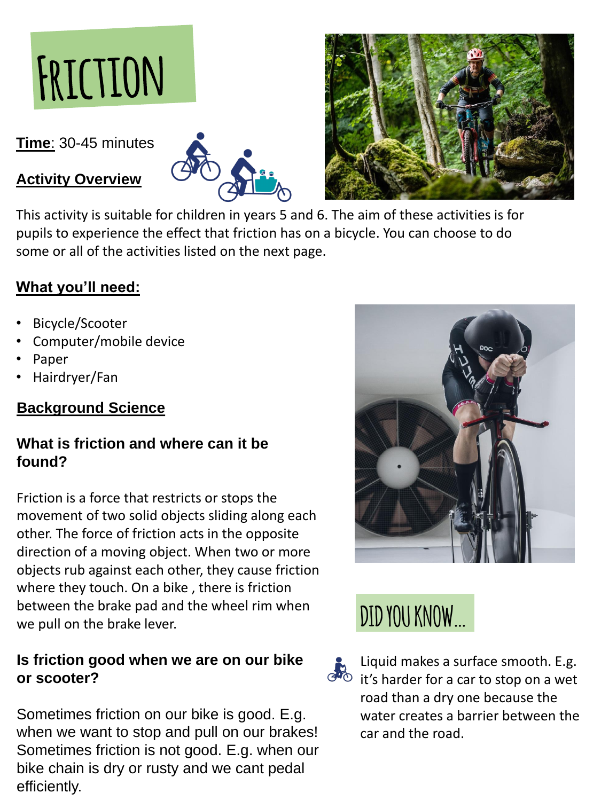

**Time**: 30-45 minutes

## **Activity Overview**





This activity is suitable for children in years 5 and 6. The aim of these activities is for pupils to experience the effect that friction has on a bicycle. You can choose to do some or all of the activities listed on the next page.

# **What you'll need:**

- Bicycle/Scooter
- Computer/mobile device
- Paper
- Hairdryer/Fan

# **Background Science**

## **What is friction and where can it be found?**

Friction is a force that restricts or stops the movement of two solid objects sliding along each other. The force of friction acts in the opposite direction of a moving object. When two or more objects rub against each other, they cause friction where they touch. On a bike , there is friction between the brake pad and the wheel rim when we pull on the brake lever.



## **Is friction good when we are on our bike or scooter?**

Sometimes friction on our bike is good. E.g. when we want to stop and pull on our brakes! Sometimes friction is not good. E.g. when our bike chain is dry or rusty and we cant pedal efficiently.

Liquid makes a surface smooth. E.g. GUO it's harder for a car to stop on a wet road than a dry one because the water creates a barrier between the car and the road.